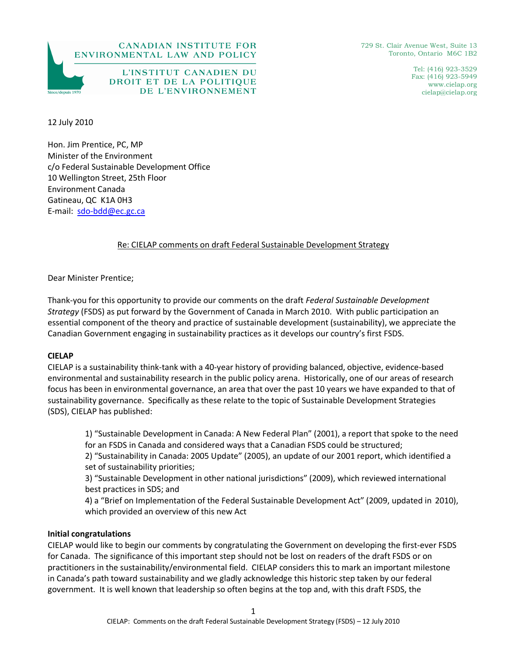

729 St. Clair Avenue West, Suite 13 Toronto, Ontario M6C 1B2

> Tel: (416) 923-3529 Fax: (416) 923-5949 www.cielap.org cielap@cielap.org

12 July 2010

Hon. Jim Prentice, PC, MP Minister of the Environment c/o Federal Sustainable Development Office 10 Wellington Street, 25th Floor Environment Canada Gatineau, QC K1A 0H3 E-mail: sdo-bdd@ec.gc.ca

# Re: CIELAP comments on draft Federal Sustainable Development Strategy

Dear Minister Prentice;

Thank-you for this opportunity to provide our comments on the draft *Federal Sustainable Development Strategy* (FSDS) as put forward by the Government of Canada in March 2010. With public participation an essential component of the theory and practice of sustainable development (sustainability), we appreciate the Canadian Government engaging in sustainability practices as it develops our country's first FSDS.

#### **CIELAP**

CIELAP is a sustainability think-tank with a 40-year history of providing balanced, objective, evidence-based environmental and sustainability research in the public policy arena. Historically, one of our areas of research focus has been in environmental governance, an area that over the past 10 years we have expanded to that of sustainability governance. Specifically as these relate to the topic of Sustainable Development Strategies (SDS), CIELAP has published:

 1) "Sustainable Development in Canada: A New Federal Plan" (2001), a report that spoke to the need for an FSDS in Canada and considered ways that a Canadian FSDS could be structured;

 2) "Sustainability in Canada: 2005 Update" (2005), an update of our 2001 report, which identified a set of sustainability priorities;

 3) "Sustainable Development in other national jurisdictions" (2009), which reviewed international best practices in SDS; and

 4) a "Brief on Implementation of the Federal Sustainable Development Act" (2009, updated in 2010), which provided an overview of this new Act

### **Initial congratulations**

CIELAP would like to begin our comments by congratulating the Government on developing the first-ever FSDS for Canada. The significance of this important step should not be lost on readers of the draft FSDS or on practitioners in the sustainability/environmental field. CIELAP considers this to mark an important milestone in Canada's path toward sustainability and we gladly acknowledge this historic step taken by our federal government. It is well known that leadership so often begins at the top and, with this draft FSDS, the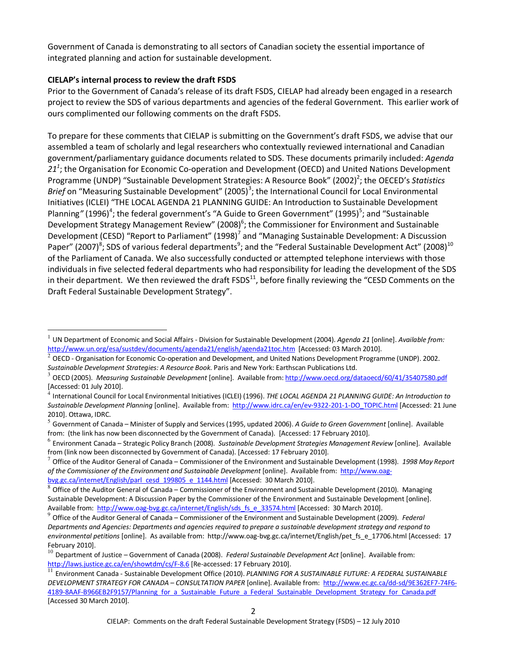Government of Canada is demonstrating to all sectors of Canadian society the essential importance of integrated planning and action for sustainable development.

### **CIELAP's internal process to review the draft FSDS**

Prior to the Government of Canada's release of its draft FSDS, CIELAP had already been engaged in a research project to review the SDS of various departments and agencies of the federal Government. This earlier work of ours complimented our following comments on the draft FSDS.

To prepare for these comments that CIELAP is submitting on the Government's draft FSDS, we advise that our assembled a team of scholarly and legal researchers who contextually reviewed international and Canadian government/parliamentary guidance documents related to SDS. These documents primarily included: *Agenda*  21<sup>1</sup>; the Organisation for Economic Co-operation and Development (OECD) and United Nations Development Programme (UNDP) "Sustainable Development Strategies: A Resource Book" (2002)<sup>2</sup>; the OECED's Statistics Brief on "Measuring Sustainable Development" (2005)<sup>3</sup>; the International Council for Local Environmental Initiatives (ICLEI) "THE LOCAL AGENDA 21 PLANNING GUIDE: An Introduction to Sustainable Development Planning" (1996)<sup>4</sup>; the federal government's "A Guide to Green Government" (1995)<sup>5</sup>; and "Sustainable Development Strategy Management Review" (2008)<sup>6</sup>; the Commissioner for Environment and Sustainable Development (CESD) "Report to Parliament" (1998)<sup>7</sup> and "Managing Sustainable Development: A Discussion Paper" (2007)<sup>8</sup>; SDS of various federal departments<sup>9</sup>; and the "Federal Sustainable Development Act" (2008)<sup>10</sup> of the Parliament of Canada. We also successfully conducted or attempted telephone interviews with those individuals in five selected federal departments who had responsibility for leading the development of the SDS in their department. We then reviewed the draft  $FSDS<sup>11</sup>$ , before finally reviewing the "CESD Comments on the Draft Federal Sustainable Development Strategy".

 $\overline{a}$ 1 UN Department of Economic and Social Affairs - Division for Sustainable Development (2004). *Agenda 21* [online]. *Available from:*  http://www.un.org/esa/sustdev/documents/agenda21/english/agenda21toc.htm[Accessed: 03 March 2010].

<sup>2</sup> OECD - Organisation for Economic Co-operation and Development, and United Nations Development Programme (UNDP). 2002. *Sustainable Development Strategies: A Resource Book*. Paris and New York: Earthscan Publications Ltd.

<sup>3</sup> OECD (2005). *Measuring Sustainable Development* [online]. Available from: http://www.oecd.org/dataoecd/60/41/35407580.pdf [Accessed: 01 July 2010].

<sup>4</sup> International Council for Local Environmental Initiatives (ICLEI) (1996). *THE LOCAL AGENDA 21 PLANNING GUIDE: An Introduction to Sustainable Development Planning* [online]. Available from: http://www.idrc.ca/en/ev-9322-201-1-DO\_TOPIC.html [Accessed: 21 June 2010]. Ottawa, IDRC.

<sup>5</sup> Government of Canada – Minister of Supply and Services (1995, updated 2006). *A Guide to Green Government* [online]. Available from: (the link has now been disconnected by the Government of Canada). [Accessed: 17 February 2010].

<sup>6</sup> Environment Canada – Strategic Policy Branch (2008). *Sustainable Development Strategies Management Review* [online]. Available from (link now been disconnected by Government of Canada). [Accessed: 17 February 2010].

<sup>7</sup> Office of the Auditor General of Canada – Commissioner of the Environment and Sustainable Development (1998). *1998 May Report of the Commissioner of the Environment and Sustainable Development* [online]. Available from: http://www.oagbvg.gc.ca/internet/English/parl\_cesd\_199805\_e\_1144.html [Accessed: 30 March 2010].

<sup>8</sup> Office of the Auditor General of Canada – Commissioner of the Environment and Sustainable Development (2010). Managing Sustainable Development: A Discussion Paper by the Commissioner of the Environment and Sustainable Development [online]. Available from: http://www.oag-bvg.gc.ca/internet/English/sds fs e 33574.html [Accessed: 30 March 2010].

<sup>9</sup> Office of the Auditor General of Canada – Commissioner of the Environment and Sustainable Development (2009). *Federal Departments and Agencies: Departments and agencies required to prepare a sustainable development strategy and respond to environmental petitions* [online]. As available from: http://www.oag-bvg.gc.ca/internet/English/pet\_fs\_e\_17706.html [Accessed: 17 February 2010].

<sup>10</sup> Department of Justice – Government of Canada (2008). *Federal Sustainable Development Act* [online]. Available from: http://laws.justice.gc.ca/en/showtdm/cs/F-8.6 [Re-accessed: 17 February 2010].

<sup>11</sup> Environment Canada - Sustainable Development Office (2010). *PLANNING FOR A SUSTAINABLE FUTURE: A FEDERAL SUSTAINABLE DEVELOPMENT STRATEGY FOR CANADA – CONSULTATION PAPER* [online]. Available from:http://www.ec.gc.ca/dd-sd/9E362EF7-74F6- 4189-8AAF-B966EB2F9157/Planning for a Sustainable Future a Federal Sustainable Development Strategy for Canada.pdf [Accessed 30 March 2010].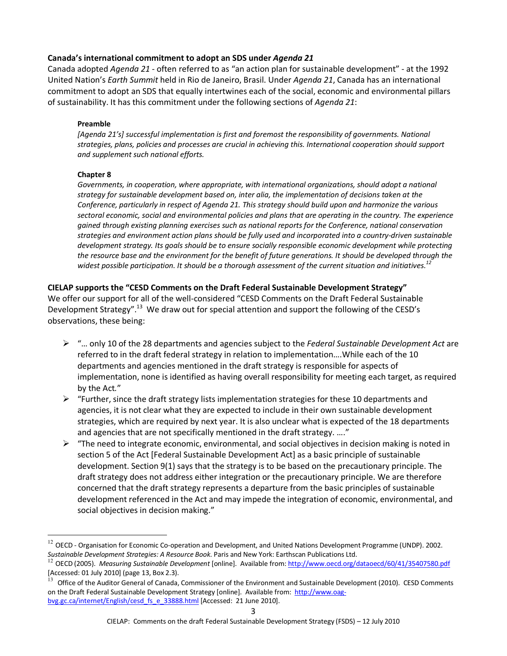### **Canada's international commitment to adopt an SDS under** *Agenda 21*

Canada adopted *Agenda 21* - often referred to as "an action plan for sustainable development" - at the 1992 United Nation's *Earth Summit* held in Rio de Janeiro, Brasil. Under *Agenda 21*, Canada has an international commitment to adopt an SDS that equally intertwines each of the social, economic and environmental pillars of sustainability. It has this commitment under the following sections of *Agenda 21*:

#### **Preamble**

*[Agenda 21's] successful implementation is first and foremost the responsibility of governments. National strategies, plans, policies and processes are crucial in achieving this. International cooperation should support and supplement such national efforts.* 

### **Chapter 8**

 $\overline{a}$ 

*Governments, in cooperation, where appropriate, with international organizations, should adopt a national strategy for sustainable development based on, inter alia, the implementation of decisions taken at the Conference, particularly in respect of Agenda 21. This strategy should build upon and harmonize the various sectoral economic, social and environmental policies and plans that are operating in the country. The experience gained through existing planning exercises such as national reports for the Conference, national conservation strategies and environment action plans should be fully used and incorporated into a country-driven sustainable*  development strategy. Its goals should be to ensure socially responsible economic development while protecting *the resource base and the environment for the benefit of future generations. It should be developed through the widest possible participation. It should be a thorough assessment of the current situation and initiatives.<sup>12</sup>*

### **CIELAP supports the "CESD Comments on the Draft Federal Sustainable Development Strategy"**

We offer our support for all of the well-considered "CESD Comments on the Draft Federal Sustainable Development Strategy".<sup>13</sup> We draw out for special attention and support the following of the CESD's observations, these being:

- "… only 10 of the 28 departments and agencies subject to the *Federal Sustainable Development Act* are referred to in the draft federal strategy in relation to implementation….While each of the 10 departments and agencies mentioned in the draft strategy is responsible for aspects of implementation, none is identified as having overall responsibility for meeting each target, as required by the Act*.*"
- $\triangleright$  "Further, since the draft strategy lists implementation strategies for these 10 departments and agencies, it is not clear what they are expected to include in their own sustainable development strategies, which are required by next year. It is also unclear what is expected of the 18 departments and agencies that are not specifically mentioned in the draft strategy. …."
- $\triangleright$  "The need to integrate economic, environmental, and social objectives in decision making is noted in section 5 of the Act [Federal Sustainable Development Act] as a basic principle of sustainable development. Section 9(1) says that the strategy is to be based on the precautionary principle. The draft strategy does not address either integration or the precautionary principle. We are therefore concerned that the draft strategy represents a departure from the basic principles of sustainable development referenced in the Act and may impede the integration of economic, environmental, and social objectives in decision making."

 $12$  OECD - Organisation for Economic Co-operation and Development, and United Nations Development Programme (UNDP). 2002. *Sustainable Development Strategies: A Resource Book*. Paris and New York: Earthscan Publications Ltd.

<sup>12</sup> OECD (2005). *Measuring Sustainable Development* [online]. Available from: http://www.oecd.org/dataoecd/60/41/35407580.pdf [Accessed: 01 July 2010] (page 13, Box 2.3).

 $^{13}$  Office of the Auditor General of Canada, Commissioner of the Environment and Sustainable Development (2010). CESD Comments on the Draft Federal Sustainable Development Strategy [online]. Available from: http://www.oagbvg.gc.ca/internet/English/cesd\_fs\_e\_33888.html [Accessed: 21 June 2010].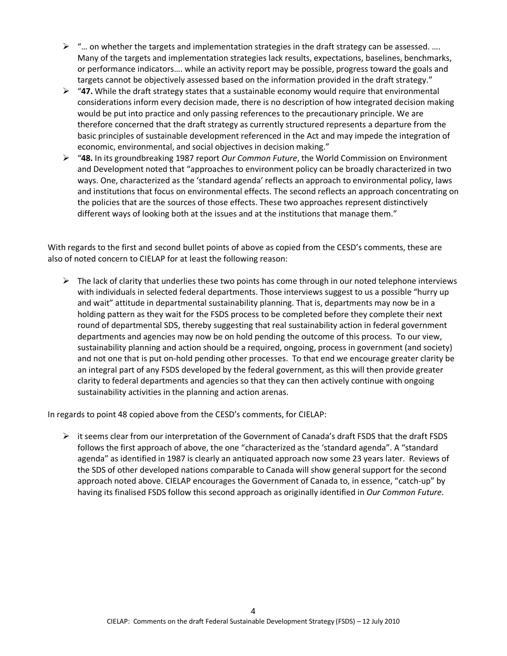- $\triangleright$  "... on whether the targets and implementation strategies in the draft strategy can be assessed. .... Many of the targets and implementation strategies lack results, expectations, baselines, benchmarks, or performance indicators…. while an activity report may be possible, progress toward the goals and targets cannot be objectively assessed based on the information provided in the draft strategy."
- "**47.** While the draft strategy states that a sustainable economy would require that environmental considerations inform every decision made, there is no description of how integrated decision making would be put into practice and only passing references to the precautionary principle. We are therefore concerned that the draft strategy as currently structured represents a departure from the basic principles of sustainable development referenced in the Act and may impede the integration of economic, environmental, and social objectives in decision making."
- "**48.** In its groundbreaking 1987 report *Our Common Future*, the World Commission on Environment and Development noted that "approaches to environment policy can be broadly characterized in two ways. One, characterized as the 'standard agenda' reflects an approach to environmental policy, laws and institutions that focus on environmental effects. The second reflects an approach concentrating on the policies that are the sources of those effects. These two approaches represent distinctively different ways of looking both at the issues and at the institutions that manage them."

With regards to the first and second bullet points of above as copied from the CESD's comments, these are also of noted concern to CIELAP for at least the following reason:

 $\triangleright$  The lack of clarity that underlies these two points has come through in our noted telephone interviews with individuals in selected federal departments. Those interviews suggest to us a possible "hurry up and wait" attitude in departmental sustainability planning. That is, departments may now be in a holding pattern as they wait for the FSDS process to be completed before they complete their next round of departmental SDS, thereby suggesting that real sustainability action in federal government departments and agencies may now be on hold pending the outcome of this process. To our view, sustainability planning and action should be a required, ongoing, process in government (and society) and not one that is put on-hold pending other processes. To that end we encourage greater clarity be an integral part of any FSDS developed by the federal government, as this will then provide greater clarity to federal departments and agencies so that they can then actively continue with ongoing sustainability activities in the planning and action arenas.

In regards to point 48 copied above from the CESD's comments, for CIELAP:

 $\triangleright$  it seems clear from our interpretation of the Government of Canada's draft FSDS that the draft FSDS follows the first approach of above, the one "characterized as the 'standard agenda". A "standard agenda" as identified in 1987 is clearly an antiquated approach now some 23 years later. Reviews of the SDS of other developed nations comparable to Canada will show general support for the second approach noted above. CIELAP encourages the Government of Canada to, in essence, "catch-up" by having its finalised FSDS follow this second approach as originally identified in *Our Common Future*.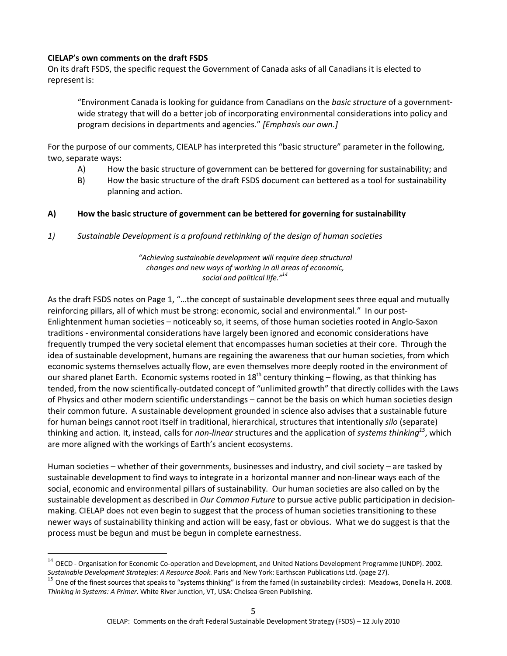### **CIELAP's own comments on the draft FSDS**

 $\overline{a}$ 

On its draft FSDS, the specific request the Government of Canada asks of all Canadians it is elected to represent is:

 "Environment Canada is looking for guidance from Canadians on the *basic structure* of a government wide strategy that will do a better job of incorporating environmental considerations into policy and program decisions in departments and agencies." *[Emphasis our own.]*

For the purpose of our comments, CIEALP has interpreted this "basic structure" parameter in the following, two, separate ways:

- A) How the basic structure of government can be bettered for governing for sustainability; and
- B) How the basic structure of the draft FSDS document can bettered as a tool for sustainability planning and action.

# **A) How the basic structure of government can be bettered for governing for sustainability**

*1) Sustainable Development is a profound rethinking of the design of human societies* 

*"Achieving sustainable development will require deep structural changes and new ways of working in all areas of economic, social and political life."<sup>14</sup>*

As the draft FSDS notes on Page 1, "…the concept of sustainable development sees three equal and mutually reinforcing pillars, all of which must be strong: economic, social and environmental." In our post-Enlightenment human societies – noticeably so, it seems, of those human societies rooted in Anglo-Saxon traditions - environmental considerations have largely been ignored and economic considerations have frequently trumped the very societal element that encompasses human societies at their core. Through the idea of sustainable development, humans are regaining the awareness that our human societies, from which economic systems themselves actually flow, are even themselves more deeply rooted in the environment of our shared planet Earth. Economic systems rooted in  $18^{th}$  century thinking – flowing, as that thinking has tended, from the now scientifically-outdated concept of "unlimited growth" that directly collides with the Laws of Physics and other modern scientific understandings – cannot be the basis on which human societies design their common future. A sustainable development grounded in science also advises that a sustainable future for human beings cannot root itself in traditional, hierarchical, structures that intentionally *silo* (separate) thinking and action. It, instead, calls for *non-linear* structures and the application of *systems thinking<sup>15</sup>*, which are more aligned with the workings of Earth's ancient ecosystems.

Human societies – whether of their governments, businesses and industry, and civil society – are tasked by sustainable development to find ways to integrate in a horizontal manner and non-linear ways each of the social, economic and environmental pillars of sustainability. Our human societies are also called on by the sustainable development as described in *Our Common Future* to pursue active public participation in decisionmaking. CIELAP does not even begin to suggest that the process of human societies transitioning to these newer ways of sustainability thinking and action will be easy, fast or obvious. What we do suggest is that the process must be begun and must be begun in complete earnestness.

 $14$  OECD - Organisation for Economic Co-operation and Development, and United Nations Development Programme (UNDP). 2002. *Sustainable Development Strategies: A Resource Book*. Paris and New York: Earthscan Publications Ltd. (page 27).

 $^{15}$  One of the finest sources that speaks to "systems thinking" is from the famed (in sustainability circles): Meadows, Donella H. 2008. *Thinking in Systems: A Primer*. White River Junction, VT, USA: Chelsea Green Publishing.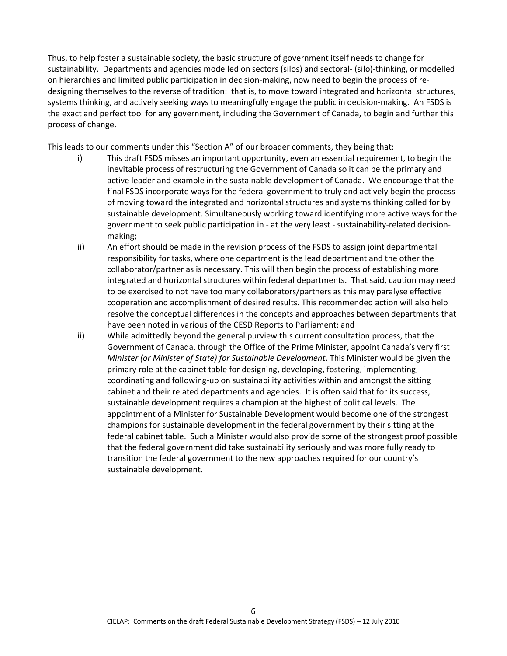Thus, to help foster a sustainable society, the basic structure of government itself needs to change for sustainability. Departments and agencies modelled on sectors (silos) and sectoral- (silo)-thinking, or modelled on hierarchies and limited public participation in decision-making, now need to begin the process of redesigning themselves to the reverse of tradition: that is, to move toward integrated and horizontal structures, systems thinking, and actively seeking ways to meaningfully engage the public in decision-making. An FSDS is the exact and perfect tool for any government, including the Government of Canada, to begin and further this process of change.

This leads to our comments under this "Section A" of our broader comments, they being that:

- i) This draft FSDS misses an important opportunity, even an essential requirement, to begin the inevitable process of restructuring the Government of Canada so it can be the primary and active leader and example in the sustainable development of Canada. We encourage that the final FSDS incorporate ways for the federal government to truly and actively begin the process of moving toward the integrated and horizontal structures and systems thinking called for by sustainable development. Simultaneously working toward identifying more active ways for the government to seek public participation in - at the very least - sustainability-related decisionmaking;
- ii) An effort should be made in the revision process of the FSDS to assign joint departmental responsibility for tasks, where one department is the lead department and the other the collaborator/partner as is necessary. This will then begin the process of establishing more integrated and horizontal structures within federal departments. That said, caution may need to be exercised to not have too many collaborators/partners as this may paralyse effective cooperation and accomplishment of desired results. This recommended action will also help resolve the conceptual differences in the concepts and approaches between departments that have been noted in various of the CESD Reports to Parliament; and
- ii) While admittedly beyond the general purview this current consultation process, that the Government of Canada, through the Office of the Prime Minister, appoint Canada's very first *Minister (or Minister of State) for Sustainable Development*. This Minister would be given the primary role at the cabinet table for designing, developing, fostering, implementing, coordinating and following-up on sustainability activities within and amongst the sitting cabinet and their related departments and agencies. It is often said that for its success, sustainable development requires a champion at the highest of political levels. The appointment of a Minister for Sustainable Development would become one of the strongest champions for sustainable development in the federal government by their sitting at the federal cabinet table. Such a Minister would also provide some of the strongest proof possible that the federal government did take sustainability seriously and was more fully ready to transition the federal government to the new approaches required for our country's sustainable development.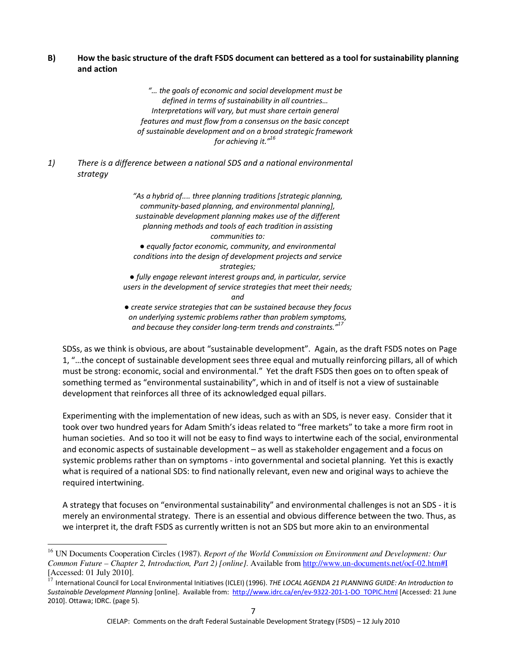# **B) How the basic structure of the draft FSDS document can bettered as a tool for sustainability planning and action**

*"… the goals of economic and social development must be defined in terms of sustainability in all countries… Interpretations will vary, but must share certain general features and must flow from a consensus on the basic concept of sustainable development and on a broad strategic framework for achieving it."<sup>16</sup>*

*1) There is a difference between a national SDS and a national environmental strategy* 

> *"As a hybrid of.... three planning traditions [strategic planning, community-based planning, and environmental planning], sustainable development planning makes use of the different planning methods and tools of each tradition in assisting communities to: ● equally factor economic, community, and environmental conditions into the design of development projects and service strategies; ● fully engage relevant interest groups and, in particular, service users in the development of service strategies that meet their needs; and ● create service strategies that can be sustained because they focus on underlying systemic problems rather than problem symptoms, and because they consider long-term trends and constraints."<sup>17</sup>*

SDSs, as we think is obvious, are about "sustainable development". Again, as the draft FSDS notes on Page 1, "…the concept of sustainable development sees three equal and mutually reinforcing pillars, all of which must be strong: economic, social and environmental." Yet the draft FSDS then goes on to often speak of something termed as "environmental sustainability", which in and of itself is not a view of sustainable development that reinforces all three of its acknowledged equal pillars.

Experimenting with the implementation of new ideas, such as with an SDS, is never easy. Consider that it took over two hundred years for Adam Smith's ideas related to "free markets" to take a more firm root in human societies. And so too it will not be easy to find ways to intertwine each of the social, environmental and economic aspects of sustainable development – as well as stakeholder engagement and a focus on systemic problems rather than on symptoms - into governmental and societal planning. Yet this is exactly what is required of a national SDS: to find nationally relevant, even new and original ways to achieve the required intertwining.

A strategy that focuses on "environmental sustainability" and environmental challenges is not an SDS - it is merely an environmental strategy. There is an essential and obvious difference between the two. Thus, as we interpret it, the draft FSDS as currently written is not an SDS but more akin to an environmental

 $\overline{a}$ 

<sup>16</sup> UN Documents Cooperation Circles (1987). *Report of the World Commission on Environment and Development: Our Common Future – Chapter 2, Introduction, Part 2) [online].* Available from http://www.un-documents.net/ocf-02.htm#I [Accessed: 01 July 2010].

<sup>17</sup> International Council for Local Environmental Initiatives (ICLEI) (1996). *THE LOCAL AGENDA 21 PLANNING GUIDE: An Introduction to Sustainable Development Planning* [online]. Available from: http://www.idrc.ca/en/ev-9322-201-1-DO\_TOPIC.html [Accessed: 21 June 2010]. Ottawa; IDRC. (page 5).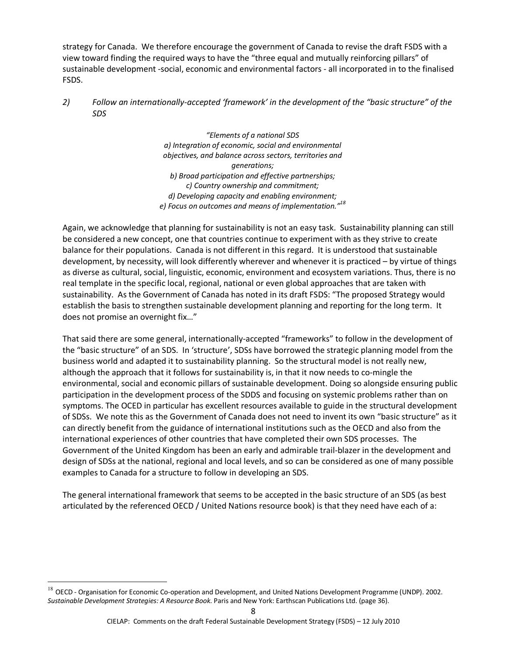strategy for Canada. We therefore encourage the government of Canada to revise the draft FSDS with a view toward finding the required ways to have the "three equal and mutually reinforcing pillars" of sustainable development -social, economic and environmental factors - all incorporated in to the finalised FSDS.

*2) Follow an internationally-accepted 'framework' in the development of the "basic structure" of the SDS* 

> *"Elements of a national SDS a) Integration of economic, social and environmental objectives, and balance across sectors, territories and generations; b) Broad participation and effective partnerships; c) Country ownership and commitment; d) Developing capacity and enabling environment; e) Focus on outcomes and means of implementation."<sup>18</sup>*

Again, we acknowledge that planning for sustainability is not an easy task. Sustainability planning can still be considered a new concept, one that countries continue to experiment with as they strive to create balance for their populations. Canada is not different in this regard. It is understood that sustainable development, by necessity, will look differently wherever and whenever it is practiced – by virtue of things as diverse as cultural, social, linguistic, economic, environment and ecosystem variations. Thus, there is no real template in the specific local, regional, national or even global approaches that are taken with sustainability. As the Government of Canada has noted in its draft FSDS: "The proposed Strategy would establish the basis to strengthen sustainable development planning and reporting for the long term. It does not promise an overnight fix…"

That said there are some general, internationally-accepted "frameworks" to follow in the development of the "basic structure" of an SDS. In 'structure', SDSs have borrowed the strategic planning model from the business world and adapted it to sustainability planning. So the structural model is not really new, although the approach that it follows for sustainability is, in that it now needs to co-mingle the environmental, social and economic pillars of sustainable development. Doing so alongside ensuring public participation in the development process of the SDDS and focusing on systemic problems rather than on symptoms. The OCED in particular has excellent resources available to guide in the structural development of SDSs. We note this as the Government of Canada does not need to invent its own "basic structure" as it can directly benefit from the guidance of international institutions such as the OECD and also from the international experiences of other countries that have completed their own SDS processes. The Government of the United Kingdom has been an early and admirable trail-blazer in the development and design of SDSs at the national, regional and local levels, and so can be considered as one of many possible examples to Canada for a structure to follow in developing an SDS.

The general international framework that seems to be accepted in the basic structure of an SDS (as best articulated by the referenced OECD / United Nations resource book) is that they need have each of a:

 $\overline{a}$ 

 $^{18}$  OECD - Organisation for Economic Co-operation and Development, and United Nations Development Programme (UNDP). 2002. *Sustainable Development Strategies: A Resource Book*. Paris and New York: Earthscan Publications Ltd. (page 36).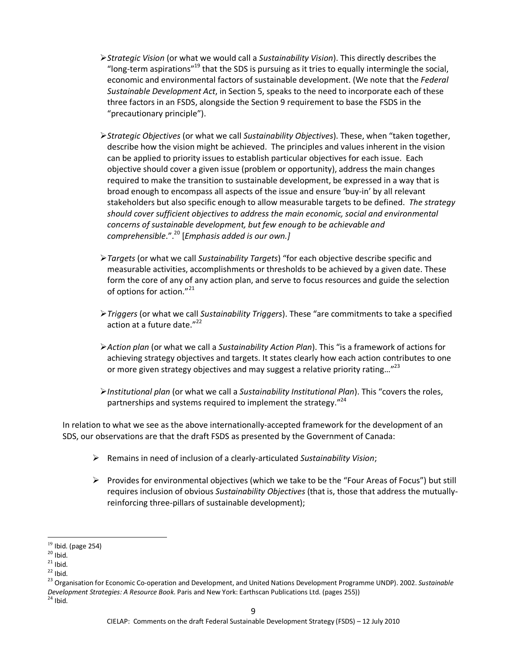- *Strategic Vision* (or what we would call a *Sustainability Vision*). This directly describes the "long-term aspirations"<sup>19</sup> that the SDS is pursuing as it tries to equally intermingle the social, economic and environmental factors of sustainable development. (We note that the *Federal Sustainable Development Act*, in Section 5, speaks to the need to incorporate each of these three factors in an FSDS, alongside the Section 9 requirement to base the FSDS in the "precautionary principle").
- *Strategic Objectives* (or what we call *Sustainability Objectives*). These, when "taken together, describe how the vision might be achieved. The principles and values inherent in the vision can be applied to priority issues to establish particular objectives for each issue. Each objective should cover a given issue (problem or opportunity), address the main changes required to make the transition to sustainable development, be expressed in a way that is broad enough to encompass all aspects of the issue and ensure 'buy-in' by all relevant stakeholders but also specific enough to allow measurable targets to be defined. *The strategy should cover sufficient objectives to address the main economic, social and environmental concerns of sustainable development, but few enough to be achievable and comprehensible*.".<sup>20</sup> [*Emphasis added is our own.]*
- *Targets* (or what we call *Sustainability Targets*) "for each objective describe specific and measurable activities, accomplishments or thresholds to be achieved by a given date. These form the core of any of any action plan, and serve to focus resources and guide the selection of options for action."<sup>21</sup>
- *Triggers* (or what we call *Sustainability Triggers*). These "are commitments to take a specified action at a future date."<sup>22</sup>
- *Action plan* (or what we call a *Sustainability Action Plan*). This "is a framework of actions for achieving strategy objectives and targets. It states clearly how each action contributes to one or more given strategy objectives and may suggest a relative priority rating..."<sup>23</sup>
- *Institutional plan* (or what we call a *Sustainability Institutional Plan*). This "covers the roles, partnerships and systems required to implement the strategy."<sup>24</sup>

In relation to what we see as the above internationally-accepted framework for the development of an SDS, our observations are that the draft FSDS as presented by the Government of Canada:

- Remains in need of inclusion of a clearly-articulated *Sustainability Vision*;
- $\triangleright$  Provides for environmental objectives (which we take to be the "Four Areas of Focus") but still requires inclusion of obvious *Sustainability Objectives* (that is, those that address the mutuallyreinforcing three-pillars of sustainable development);

 $\overline{a}$ 

 $19$  Ibid. (page 254)

 $20$  Ibid.

 $21$  Ibid.

 $22$  Ibid.

<sup>23</sup> Organisation for Economic Co-operation and Development, and United Nations Development Programme UNDP). 2002. *Sustainable Development Strategies: A Resource Book*. Paris and New York: Earthscan Publications Ltd. (pages 255))

 $24$  Ibid.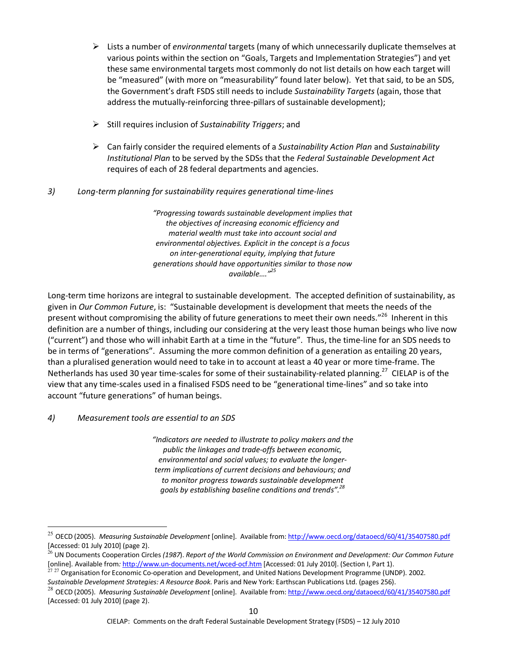- Lists a number of *environmental* targets (many of which unnecessarily duplicate themselves at various points within the section on "Goals, Targets and Implementation Strategies") and yet these same environmental targets most commonly do not list details on how each target will be "measured" (with more on "measurability" found later below). Yet that said, to be an SDS, the Government's draft FSDS still needs to include *Sustainability Targets* (again, those that address the mutually-reinforcing three-pillars of sustainable development);
- Still requires inclusion of *Sustainability Triggers*; and
- Can fairly consider the required elements of a *Sustainability Action Plan* and *Sustainability Institutional Plan* to be served by the SDSs that the *Federal Sustainable Development Act* requires of each of 28 federal departments and agencies.

# *3) Long-term planning for sustainability requires generational time-lines*

*"Progressing towards sustainable development implies that the objectives of increasing economic efficiency and material wealth must take into account social and environmental objectives. Explicit in the concept is a focus on inter-generational equity, implying that future generations should have opportunities similar to those now available…."<sup>25</sup>*

Long-term time horizons are integral to sustainable development. The accepted definition of sustainability, as given in *Our Common Future*, is: "Sustainable development is development that meets the needs of the present without compromising the ability of future generations to meet their own needs."<sup>26</sup> Inherent in this definition are a number of things, including our considering at the very least those human beings who live now ("current") and those who will inhabit Earth at a time in the "future". Thus, the time-line for an SDS needs to be in terms of "generations". Assuming the more common definition of a generation as entailing 20 years, than a pluralised generation would need to take in to account at least a 40 year or more time-frame. The Netherlands has used 30 year time-scales for some of their sustainability-related planning.<sup>27</sup> CIELAP is of the view that any time-scales used in a finalised FSDS need to be "generational time-lines" and so take into account "future generations" of human beings.

### *4) Measurement tools are essential to an SDS*

 $\overline{a}$ 

*"Indicators are needed to illustrate to policy makers and the public the linkages and trade-offs between economic, environmental and social values; to evaluate the longerterm implications of current decisions and behaviours; and to monitor progress towards sustainable development goals by establishing baseline conditions and trends".<sup>28</sup>*

<sup>25</sup> OECD (2005). *Measuring Sustainable Development* [online]. Available from: http://www.oecd.org/dataoecd/60/41/35407580.pdf [Accessed: 01 July 2010] (page 2).

<sup>26</sup> UN Documents Cooperation Circles *(1987*). *Report of the World Commission on Environment and Development: Our Common Future*  [online]. Available from*:* http://www.un-documents.net/wced-ocf.htm [Accessed: 01 July 2010]. (Section I, Part 1).

<sup>&</sup>lt;sup>27 27</sup> Organisation for Economic Co-operation and Development, and United Nations Development Programme (UNDP). 2002. *Sustainable Development Strategies: A Resource Book*. Paris and New York: Earthscan Publications Ltd. (pages 256).

<sup>28</sup> OECD (2005). *Measuring Sustainable Development* [online]. Available from: http://www.oecd.org/dataoecd/60/41/35407580.pdf [Accessed: 01 July 2010] (page 2).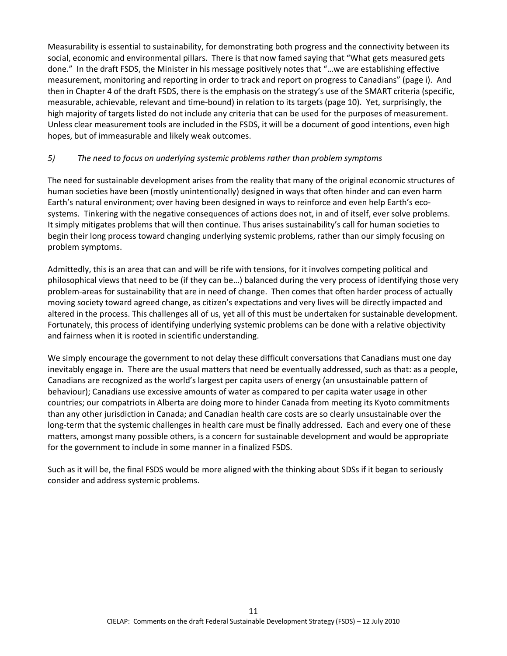Measurability is essential to sustainability, for demonstrating both progress and the connectivity between its social, economic and environmental pillars. There is that now famed saying that "What gets measured gets done." In the draft FSDS, the Minister in his message positively notes that "…we are establishing effective measurement, monitoring and reporting in order to track and report on progress to Canadians" (page i). And then in Chapter 4 of the draft FSDS, there is the emphasis on the strategy's use of the SMART criteria (specific, measurable, achievable, relevant and time-bound) in relation to its targets (page 10). Yet, surprisingly, the high majority of targets listed do not include any criteria that can be used for the purposes of measurement. Unless clear measurement tools are included in the FSDS, it will be a document of good intentions, even high hopes, but of immeasurable and likely weak outcomes.

# *5) The need to focus on underlying systemic problems rather than problem symptoms*

The need for sustainable development arises from the reality that many of the original economic structures of human societies have been (mostly unintentionally) designed in ways that often hinder and can even harm Earth's natural environment; over having been designed in ways to reinforce and even help Earth's ecosystems. Tinkering with the negative consequences of actions does not, in and of itself, ever solve problems. It simply mitigates problems that will then continue. Thus arises sustainability's call for human societies to begin their long process toward changing underlying systemic problems, rather than our simply focusing on problem symptoms.

Admittedly, this is an area that can and will be rife with tensions, for it involves competing political and philosophical views that need to be (if they can be…) balanced during the very process of identifying those very problem-areas for sustainability that are in need of change. Then comes that often harder process of actually moving society toward agreed change, as citizen's expectations and very lives will be directly impacted and altered in the process. This challenges all of us, yet all of this must be undertaken for sustainable development. Fortunately, this process of identifying underlying systemic problems can be done with a relative objectivity and fairness when it is rooted in scientific understanding.

We simply encourage the government to not delay these difficult conversations that Canadians must one day inevitably engage in. There are the usual matters that need be eventually addressed, such as that: as a people, Canadians are recognized as the world's largest per capita users of energy (an unsustainable pattern of behaviour); Canadians use excessive amounts of water as compared to per capita water usage in other countries; our compatriots in Alberta are doing more to hinder Canada from meeting its Kyoto commitments than any other jurisdiction in Canada; and Canadian health care costs are so clearly unsustainable over the long-term that the systemic challenges in health care must be finally addressed. Each and every one of these matters, amongst many possible others, is a concern for sustainable development and would be appropriate for the government to include in some manner in a finalized FSDS.

Such as it will be, the final FSDS would be more aligned with the thinking about SDSs if it began to seriously consider and address systemic problems.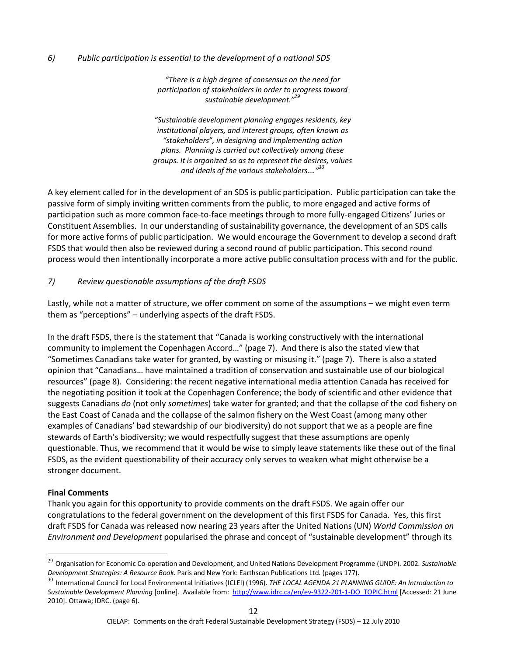### *6) Public participation is essential to the development of a national SDS*

*"There is a high degree of consensus on the need for participation of stakeholders in order to progress toward sustainable development."<sup>29</sup>*

*"Sustainable development planning engages residents, key institutional players, and interest groups, often known as "stakeholders", in designing and implementing action plans. Planning is carried out collectively among these groups. It is organized so as to represent the desires, values and ideals of the various stakeholders…."<sup>30</sup>*

A key element called for in the development of an SDS is public participation. Public participation can take the passive form of simply inviting written comments from the public, to more engaged and active forms of participation such as more common face-to-face meetings through to more fully-engaged Citizens' Juries or Constituent Assemblies. In our understanding of sustainability governance, the development of an SDS calls for more active forms of public participation. We would encourage the Government to develop a second draft FSDS that would then also be reviewed during a second round of public participation. This second round process would then intentionally incorporate a more active public consultation process with and for the public.

### *7) Review questionable assumptions of the draft FSDS*

Lastly, while not a matter of structure, we offer comment on some of the assumptions – we might even term them as "perceptions" – underlying aspects of the draft FSDS.

In the draft FSDS, there is the statement that "Canada is working constructively with the international community to implement the Copenhagen Accord…" (page 7). And there is also the stated view that "Sometimes Canadians take water for granted, by wasting or misusing it." (page 7). There is also a stated opinion that "Canadians… have maintained a tradition of conservation and sustainable use of our biological resources" (page 8). Considering: the recent negative international media attention Canada has received for the negotiating position it took at the Copenhagen Conference; the body of scientific and other evidence that suggests Canadians *do* (not only *sometimes*) take water for granted; and that the collapse of the cod fishery on the East Coast of Canada and the collapse of the salmon fishery on the West Coast (among many other examples of Canadians' bad stewardship of our biodiversity) do not support that we as a people are fine stewards of Earth's biodiversity; we would respectfully suggest that these assumptions are openly questionable. Thus, we recommend that it would be wise to simply leave statements like these out of the final FSDS, as the evident questionability of their accuracy only serves to weaken what might otherwise be a stronger document.

### **Final Comments**

 $\overline{a}$ 

Thank you again for this opportunity to provide comments on the draft FSDS. We again offer our congratulations to the federal government on the development of this first FSDS for Canada. Yes, this first draft FSDS for Canada was released now nearing 23 years after the United Nations (UN) *World Commission on Environment and Development* popularised the phrase and concept of "sustainable development" through its

<sup>29</sup> Organisation for Economic Co-operation and Development, and United Nations Development Programme (UNDP). 2002. *Sustainable Development Strategies: A Resource Book*. Paris and New York: Earthscan Publications Ltd. (pages 177).

<sup>30</sup> International Council for Local Environmental Initiatives (ICLEI) (1996). *THE LOCAL AGENDA 21 PLANNING GUIDE: An Introduction to Sustainable Development Planning* [online]. Available from: http://www.idrc.ca/en/ev-9322-201-1-DO\_TOPIC.html [Accessed: 21 June 2010]. Ottawa; IDRC. (page 6).